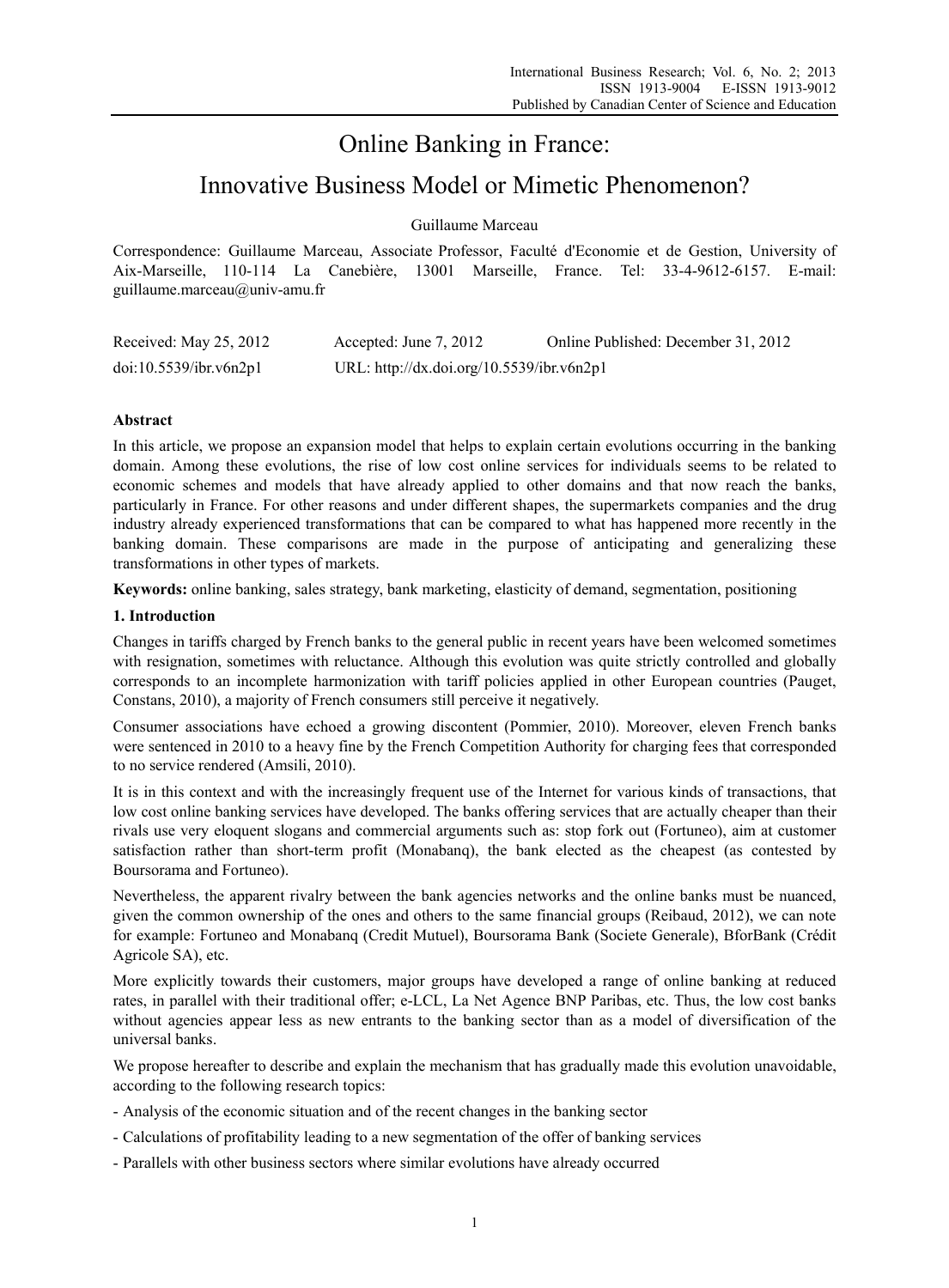# Online Banking in France:

# Innovative Business Model or Mimetic Phenomenon?

Guillaume Marceau

Correspondence: Guillaume Marceau, Associate Professor, Faculté d'Economie et de Gestion, University of Aix-Marseille, 110-114 La Canebière, 13001 Marseille, France. Tel: 33-4-9612-6157. E-mail: guillaume.marceau@univ-amu.fr

| Received: May 25, 2012 | Accepted: June 7, 2012                    | Online Published: December 31, 2012 |
|------------------------|-------------------------------------------|-------------------------------------|
| doi:10.5539/ibr.v6n2p1 | URL: http://dx.doi.org/10.5539/ibr.v6n2p1 |                                     |

## **Abstract**

In this article, we propose an expansion model that helps to explain certain evolutions occurring in the banking domain. Among these evolutions, the rise of low cost online services for individuals seems to be related to economic schemes and models that have already applied to other domains and that now reach the banks, particularly in France. For other reasons and under different shapes, the supermarkets companies and the drug industry already experienced transformations that can be compared to what has happened more recently in the banking domain. These comparisons are made in the purpose of anticipating and generalizing these transformations in other types of markets.

**Keywords:** online banking, sales strategy, bank marketing, elasticity of demand, segmentation, positioning

## **1. Introduction**

Changes in tariffs charged by French banks to the general public in recent years have been welcomed sometimes with resignation, sometimes with reluctance. Although this evolution was quite strictly controlled and globally corresponds to an incomplete harmonization with tariff policies applied in other European countries (Pauget, Constans, 2010), a majority of French consumers still perceive it negatively.

Consumer associations have echoed a growing discontent (Pommier, 2010). Moreover, eleven French banks were sentenced in 2010 to a heavy fine by the French Competition Authority for charging fees that corresponded to no service rendered (Amsili, 2010).

It is in this context and with the increasingly frequent use of the Internet for various kinds of transactions, that low cost online banking services have developed. The banks offering services that are actually cheaper than their rivals use very eloquent slogans and commercial arguments such as: stop fork out (Fortuneo), aim at customer satisfaction rather than short-term profit (Monabanq), the bank elected as the cheapest (as contested by Boursorama and Fortuneo).

Nevertheless, the apparent rivalry between the bank agencies networks and the online banks must be nuanced, given the common ownership of the ones and others to the same financial groups (Reibaud, 2012), we can note for example: Fortuneo and Monabanq (Credit Mutuel), Boursorama Bank (Societe Generale), BforBank (Crédit Agricole SA), etc.

More explicitly towards their customers, major groups have developed a range of online banking at reduced rates, in parallel with their traditional offer; e-LCL, La Net Agence BNP Paribas, etc. Thus, the low cost banks without agencies appear less as new entrants to the banking sector than as a model of diversification of the universal banks.

We propose hereafter to describe and explain the mechanism that has gradually made this evolution unavoidable, according to the following research topics:

- Analysis of the economic situation and of the recent changes in the banking sector
- Calculations of profitability leading to a new segmentation of the offer of banking services
- Parallels with other business sectors where similar evolutions have already occurred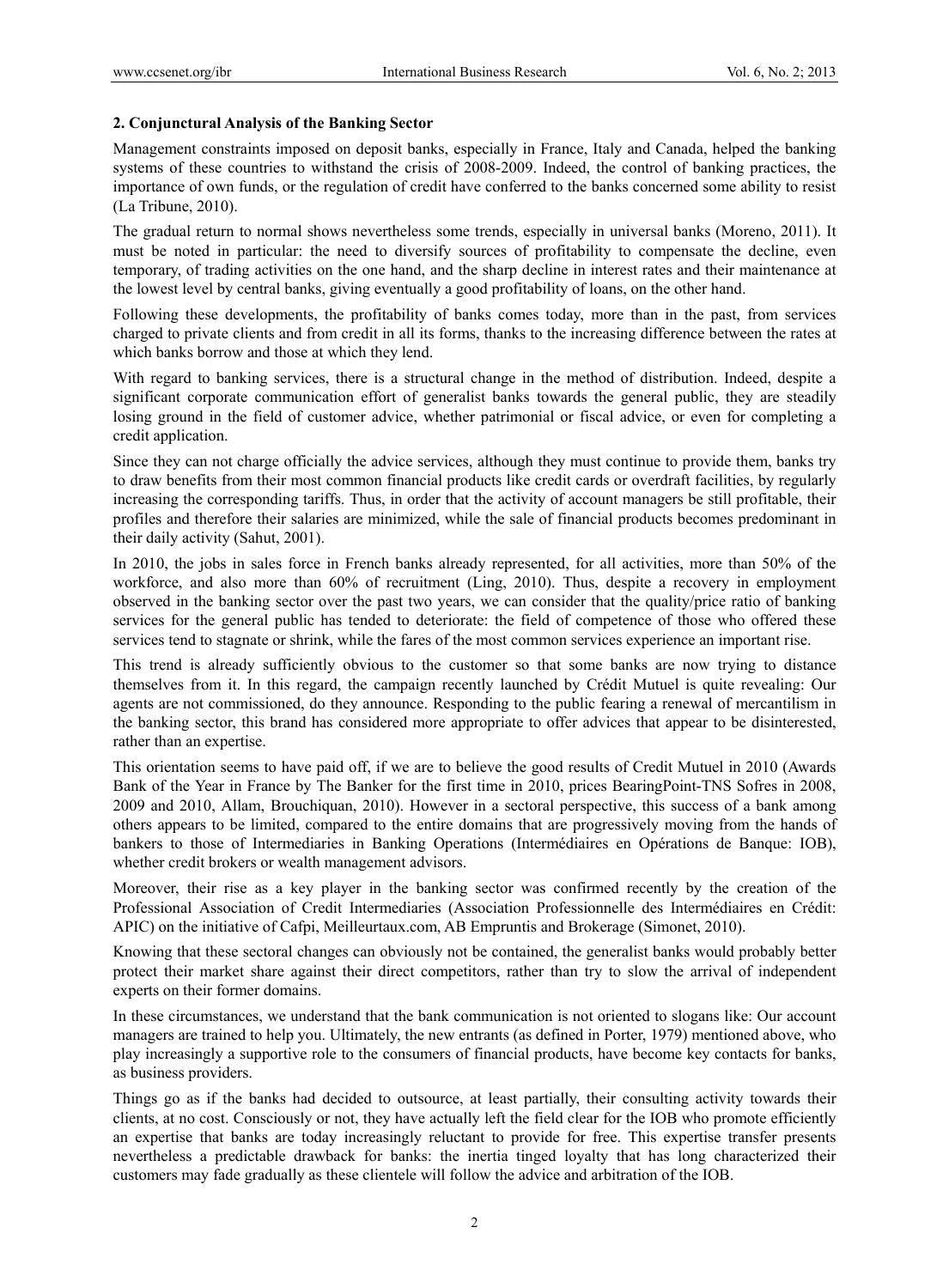### **2. Conjunctural Analysis of the Banking Sector**

Management constraints imposed on deposit banks, especially in France, Italy and Canada, helped the banking systems of these countries to withstand the crisis of 2008-2009. Indeed, the control of banking practices, the importance of own funds, or the regulation of credit have conferred to the banks concerned some ability to resist (La Tribune, 2010).

The gradual return to normal shows nevertheless some trends, especially in universal banks (Moreno, 2011). It must be noted in particular: the need to diversify sources of profitability to compensate the decline, even temporary, of trading activities on the one hand, and the sharp decline in interest rates and their maintenance at the lowest level by central banks, giving eventually a good profitability of loans, on the other hand.

Following these developments, the profitability of banks comes today, more than in the past, from services charged to private clients and from credit in all its forms, thanks to the increasing difference between the rates at which banks borrow and those at which they lend.

With regard to banking services, there is a structural change in the method of distribution. Indeed, despite a significant corporate communication effort of generalist banks towards the general public, they are steadily losing ground in the field of customer advice, whether patrimonial or fiscal advice, or even for completing a credit application.

Since they can not charge officially the advice services, although they must continue to provide them, banks try to draw benefits from their most common financial products like credit cards or overdraft facilities, by regularly increasing the corresponding tariffs. Thus, in order that the activity of account managers be still profitable, their profiles and therefore their salaries are minimized, while the sale of financial products becomes predominant in their daily activity (Sahut, 2001).

In 2010, the jobs in sales force in French banks already represented, for all activities, more than 50% of the workforce, and also more than 60% of recruitment (Ling, 2010). Thus, despite a recovery in employment observed in the banking sector over the past two years, we can consider that the quality/price ratio of banking services for the general public has tended to deteriorate: the field of competence of those who offered these services tend to stagnate or shrink, while the fares of the most common services experience an important rise.

This trend is already sufficiently obvious to the customer so that some banks are now trying to distance themselves from it. In this regard, the campaign recently launched by Crédit Mutuel is quite revealing: Our agents are not commissioned, do they announce. Responding to the public fearing a renewal of mercantilism in the banking sector, this brand has considered more appropriate to offer advices that appear to be disinterested, rather than an expertise.

This orientation seems to have paid off, if we are to believe the good results of Credit Mutuel in 2010 (Awards Bank of the Year in France by The Banker for the first time in 2010, prices BearingPoint-TNS Sofres in 2008, 2009 and 2010, Allam, Brouchiquan, 2010). However in a sectoral perspective, this success of a bank among others appears to be limited, compared to the entire domains that are progressively moving from the hands of bankers to those of Intermediaries in Banking Operations (Intermédiaires en Opérations de Banque: IOB), whether credit brokers or wealth management advisors.

Moreover, their rise as a key player in the banking sector was confirmed recently by the creation of the Professional Association of Credit Intermediaries (Association Professionnelle des Intermédiaires en Crédit: APIC) on the initiative of Cafpi, Meilleurtaux.com, AB Empruntis and Brokerage (Simonet, 2010).

Knowing that these sectoral changes can obviously not be contained, the generalist banks would probably better protect their market share against their direct competitors, rather than try to slow the arrival of independent experts on their former domains.

In these circumstances, we understand that the bank communication is not oriented to slogans like: Our account managers are trained to help you. Ultimately, the new entrants (as defined in Porter, 1979) mentioned above, who play increasingly a supportive role to the consumers of financial products, have become key contacts for banks, as business providers.

Things go as if the banks had decided to outsource, at least partially, their consulting activity towards their clients, at no cost. Consciously or not, they have actually left the field clear for the IOB who promote efficiently an expertise that banks are today increasingly reluctant to provide for free. This expertise transfer presents nevertheless a predictable drawback for banks: the inertia tinged loyalty that has long characterized their customers may fade gradually as these clientele will follow the advice and arbitration of the IOB.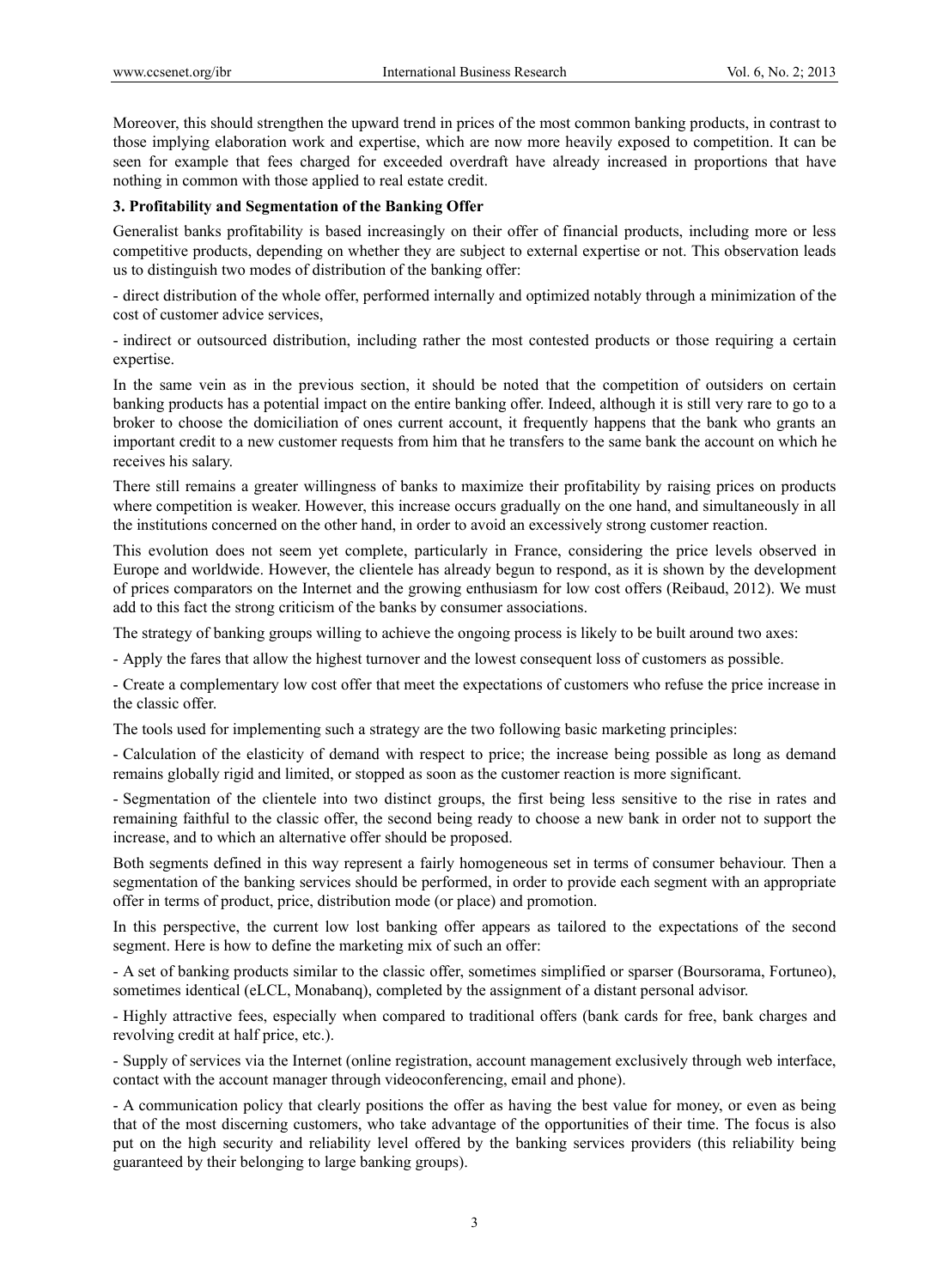Moreover, this should strengthen the upward trend in prices of the most common banking products, in contrast to those implying elaboration work and expertise, which are now more heavily exposed to competition. It can be seen for example that fees charged for exceeded overdraft have already increased in proportions that have nothing in common with those applied to real estate credit.

### **3. Profitability and Segmentation of the Banking Offer**

Generalist banks profitability is based increasingly on their offer of financial products, including more or less competitive products, depending on whether they are subject to external expertise or not. This observation leads us to distinguish two modes of distribution of the banking offer:

- direct distribution of the whole offer, performed internally and optimized notably through a minimization of the cost of customer advice services,

- indirect or outsourced distribution, including rather the most contested products or those requiring a certain expertise.

In the same vein as in the previous section, it should be noted that the competition of outsiders on certain banking products has a potential impact on the entire banking offer. Indeed, although it is still very rare to go to a broker to choose the domiciliation of ones current account, it frequently happens that the bank who grants an important credit to a new customer requests from him that he transfers to the same bank the account on which he receives his salary.

There still remains a greater willingness of banks to maximize their profitability by raising prices on products where competition is weaker. However, this increase occurs gradually on the one hand, and simultaneously in all the institutions concerned on the other hand, in order to avoid an excessively strong customer reaction.

This evolution does not seem yet complete, particularly in France, considering the price levels observed in Europe and worldwide. However, the clientele has already begun to respond, as it is shown by the development of prices comparators on the Internet and the growing enthusiasm for low cost offers (Reibaud, 2012). We must add to this fact the strong criticism of the banks by consumer associations.

The strategy of banking groups willing to achieve the ongoing process is likely to be built around two axes:

- Apply the fares that allow the highest turnover and the lowest consequent loss of customers as possible.

- Create a complementary low cost offer that meet the expectations of customers who refuse the price increase in the classic offer.

The tools used for implementing such a strategy are the two following basic marketing principles:

- Calculation of the elasticity of demand with respect to price; the increase being possible as long as demand remains globally rigid and limited, or stopped as soon as the customer reaction is more significant.

- Segmentation of the clientele into two distinct groups, the first being less sensitive to the rise in rates and remaining faithful to the classic offer, the second being ready to choose a new bank in order not to support the increase, and to which an alternative offer should be proposed.

Both segments defined in this way represent a fairly homogeneous set in terms of consumer behaviour. Then a segmentation of the banking services should be performed, in order to provide each segment with an appropriate offer in terms of product, price, distribution mode (or place) and promotion.

In this perspective, the current low lost banking offer appears as tailored to the expectations of the second segment. Here is how to define the marketing mix of such an offer:

- A set of banking products similar to the classic offer, sometimes simplified or sparser (Boursorama, Fortuneo), sometimes identical (eLCL, Monabanq), completed by the assignment of a distant personal advisor.

- Highly attractive fees, especially when compared to traditional offers (bank cards for free, bank charges and revolving credit at half price, etc.).

- Supply of services via the Internet (online registration, account management exclusively through web interface, contact with the account manager through videoconferencing, email and phone).

- A communication policy that clearly positions the offer as having the best value for money, or even as being that of the most discerning customers, who take advantage of the opportunities of their time. The focus is also put on the high security and reliability level offered by the banking services providers (this reliability being guaranteed by their belonging to large banking groups).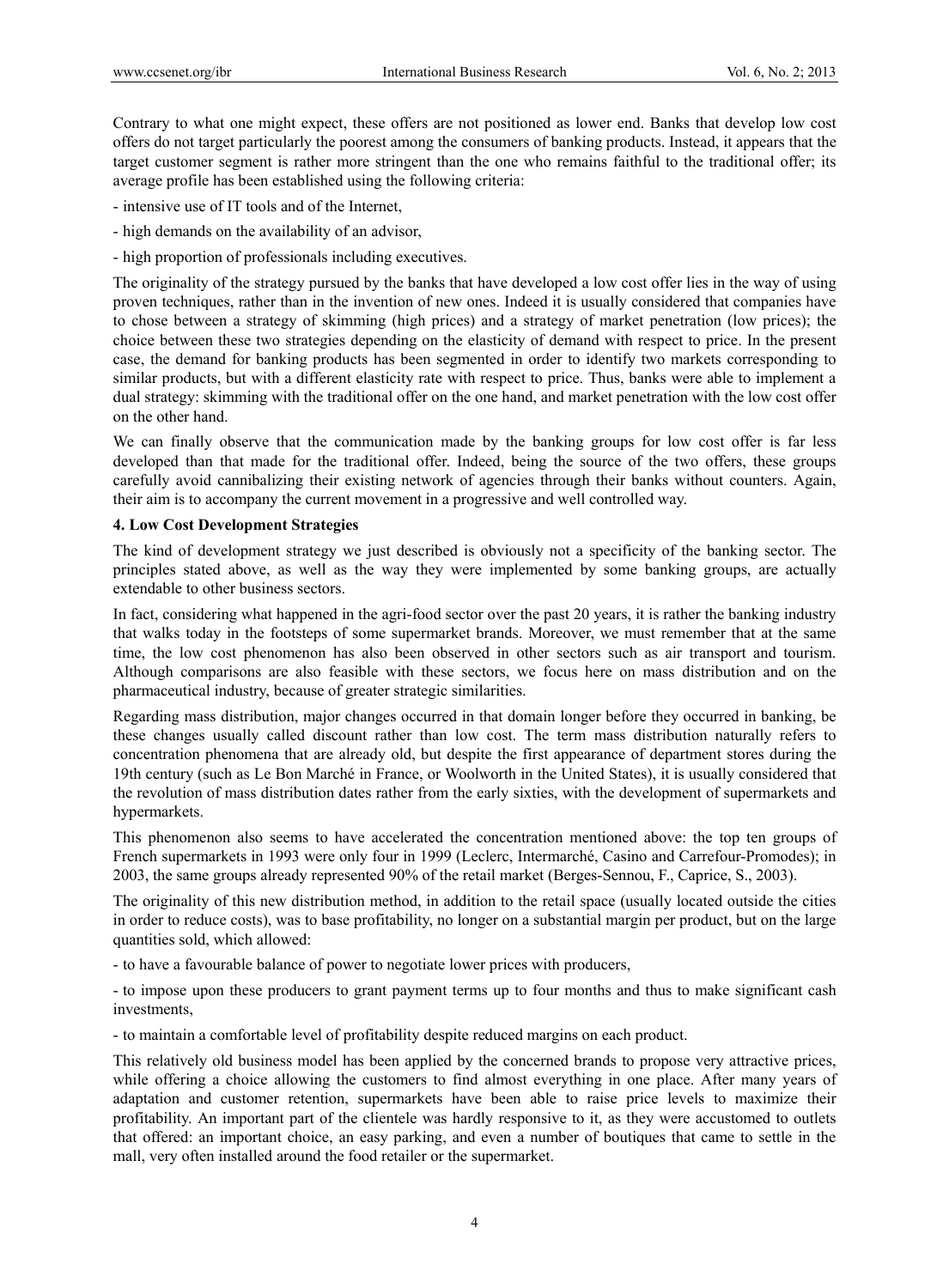Contrary to what one might expect, these offers are not positioned as lower end. Banks that develop low cost offers do not target particularly the poorest among the consumers of banking products. Instead, it appears that the target customer segment is rather more stringent than the one who remains faithful to the traditional offer; its average profile has been established using the following criteria:

- intensive use of IT tools and of the Internet,
- high demands on the availability of an advisor,
- high proportion of professionals including executives.

The originality of the strategy pursued by the banks that have developed a low cost offer lies in the way of using proven techniques, rather than in the invention of new ones. Indeed it is usually considered that companies have to chose between a strategy of skimming (high prices) and a strategy of market penetration (low prices); the choice between these two strategies depending on the elasticity of demand with respect to price. In the present case, the demand for banking products has been segmented in order to identify two markets corresponding to similar products, but with a different elasticity rate with respect to price. Thus, banks were able to implement a dual strategy: skimming with the traditional offer on the one hand, and market penetration with the low cost offer on the other hand.

We can finally observe that the communication made by the banking groups for low cost offer is far less developed than that made for the traditional offer. Indeed, being the source of the two offers, these groups carefully avoid cannibalizing their existing network of agencies through their banks without counters. Again, their aim is to accompany the current movement in a progressive and well controlled way.

#### **4. Low Cost Development Strategies**

The kind of development strategy we just described is obviously not a specificity of the banking sector. The principles stated above, as well as the way they were implemented by some banking groups, are actually extendable to other business sectors.

In fact, considering what happened in the agri-food sector over the past 20 years, it is rather the banking industry that walks today in the footsteps of some supermarket brands. Moreover, we must remember that at the same time, the low cost phenomenon has also been observed in other sectors such as air transport and tourism. Although comparisons are also feasible with these sectors, we focus here on mass distribution and on the pharmaceutical industry, because of greater strategic similarities.

Regarding mass distribution, major changes occurred in that domain longer before they occurred in banking, be these changes usually called discount rather than low cost. The term mass distribution naturally refers to concentration phenomena that are already old, but despite the first appearance of department stores during the 19th century (such as Le Bon Marché in France, or Woolworth in the United States), it is usually considered that the revolution of mass distribution dates rather from the early sixties, with the development of supermarkets and hypermarkets.

This phenomenon also seems to have accelerated the concentration mentioned above: the top ten groups of French supermarkets in 1993 were only four in 1999 (Leclerc, Intermarché, Casino and Carrefour-Promodes); in 2003, the same groups already represented 90% of the retail market (Berges-Sennou, F., Caprice, S., 2003).

The originality of this new distribution method, in addition to the retail space (usually located outside the cities in order to reduce costs), was to base profitability, no longer on a substantial margin per product, but on the large quantities sold, which allowed:

- to have a favourable balance of power to negotiate lower prices with producers,

- to impose upon these producers to grant payment terms up to four months and thus to make significant cash investments,

- to maintain a comfortable level of profitability despite reduced margins on each product.

This relatively old business model has been applied by the concerned brands to propose very attractive prices, while offering a choice allowing the customers to find almost everything in one place. After many years of adaptation and customer retention, supermarkets have been able to raise price levels to maximize their profitability. An important part of the clientele was hardly responsive to it, as they were accustomed to outlets that offered: an important choice, an easy parking, and even a number of boutiques that came to settle in the mall, very often installed around the food retailer or the supermarket.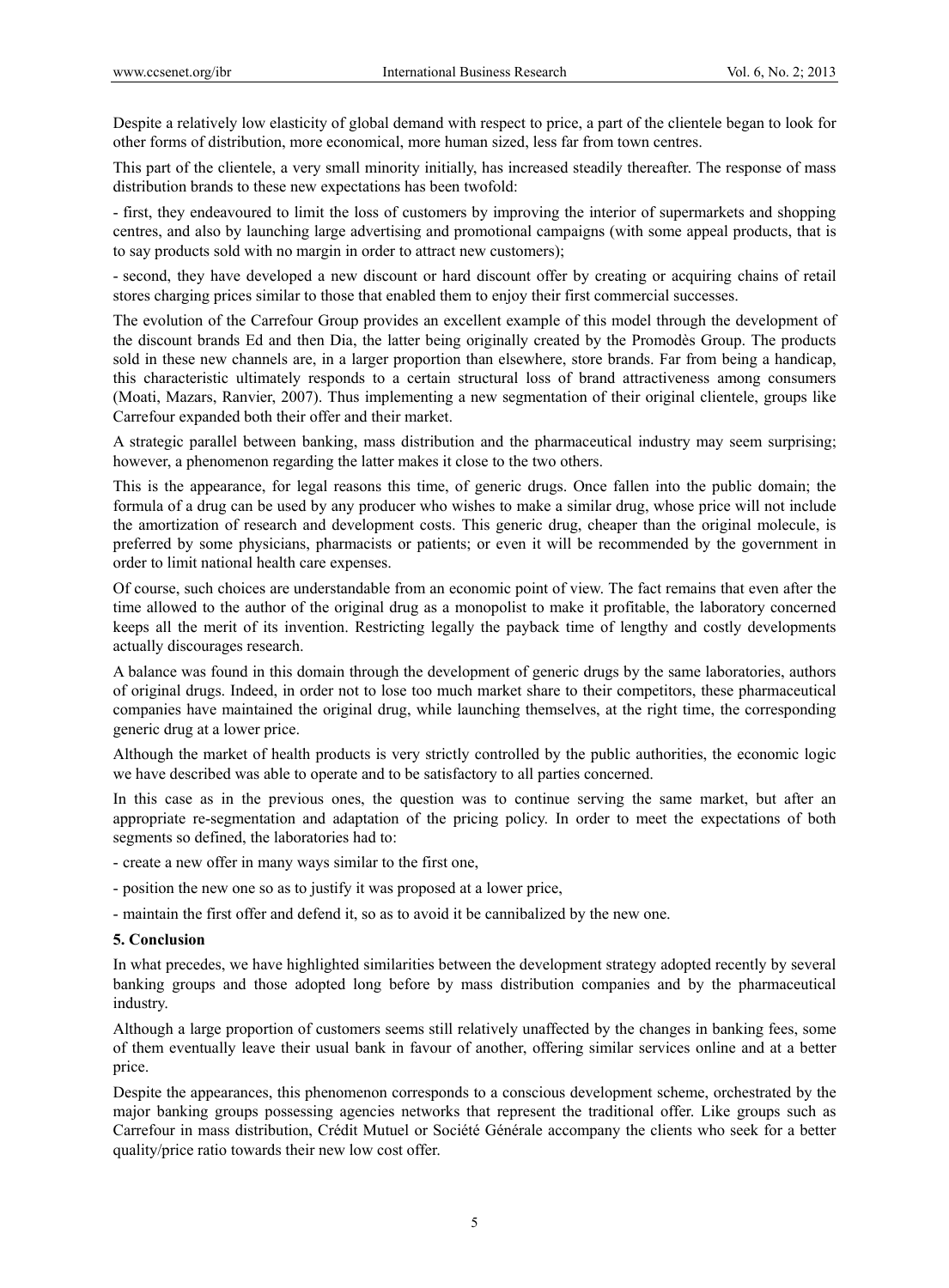Despite a relatively low elasticity of global demand with respect to price, a part of the clientele began to look for other forms of distribution, more economical, more human sized, less far from town centres.

This part of the clientele, a very small minority initially, has increased steadily thereafter. The response of mass distribution brands to these new expectations has been twofold:

- first, they endeavoured to limit the loss of customers by improving the interior of supermarkets and shopping centres, and also by launching large advertising and promotional campaigns (with some appeal products, that is to say products sold with no margin in order to attract new customers);

- second, they have developed a new discount or hard discount offer by creating or acquiring chains of retail stores charging prices similar to those that enabled them to enjoy their first commercial successes.

The evolution of the Carrefour Group provides an excellent example of this model through the development of the discount brands Ed and then Dia, the latter being originally created by the Promodès Group. The products sold in these new channels are, in a larger proportion than elsewhere, store brands. Far from being a handicap, this characteristic ultimately responds to a certain structural loss of brand attractiveness among consumers (Moati, Mazars, Ranvier, 2007). Thus implementing a new segmentation of their original clientele, groups like Carrefour expanded both their offer and their market.

A strategic parallel between banking, mass distribution and the pharmaceutical industry may seem surprising; however, a phenomenon regarding the latter makes it close to the two others.

This is the appearance, for legal reasons this time, of generic drugs. Once fallen into the public domain; the formula of a drug can be used by any producer who wishes to make a similar drug, whose price will not include the amortization of research and development costs. This generic drug, cheaper than the original molecule, is preferred by some physicians, pharmacists or patients; or even it will be recommended by the government in order to limit national health care expenses.

Of course, such choices are understandable from an economic point of view. The fact remains that even after the time allowed to the author of the original drug as a monopolist to make it profitable, the laboratory concerned keeps all the merit of its invention. Restricting legally the payback time of lengthy and costly developments actually discourages research.

A balance was found in this domain through the development of generic drugs by the same laboratories, authors of original drugs. Indeed, in order not to lose too much market share to their competitors, these pharmaceutical companies have maintained the original drug, while launching themselves, at the right time, the corresponding generic drug at a lower price.

Although the market of health products is very strictly controlled by the public authorities, the economic logic we have described was able to operate and to be satisfactory to all parties concerned.

In this case as in the previous ones, the question was to continue serving the same market, but after an appropriate re-segmentation and adaptation of the pricing policy. In order to meet the expectations of both segments so defined, the laboratories had to:

- create a new offer in many ways similar to the first one,
- position the new one so as to justify it was proposed at a lower price,
- maintain the first offer and defend it, so as to avoid it be cannibalized by the new one.

#### **5. Conclusion**

In what precedes, we have highlighted similarities between the development strategy adopted recently by several banking groups and those adopted long before by mass distribution companies and by the pharmaceutical industry.

Although a large proportion of customers seems still relatively unaffected by the changes in banking fees, some of them eventually leave their usual bank in favour of another, offering similar services online and at a better price.

Despite the appearances, this phenomenon corresponds to a conscious development scheme, orchestrated by the major banking groups possessing agencies networks that represent the traditional offer. Like groups such as Carrefour in mass distribution, Crédit Mutuel or Société Générale accompany the clients who seek for a better quality/price ratio towards their new low cost offer.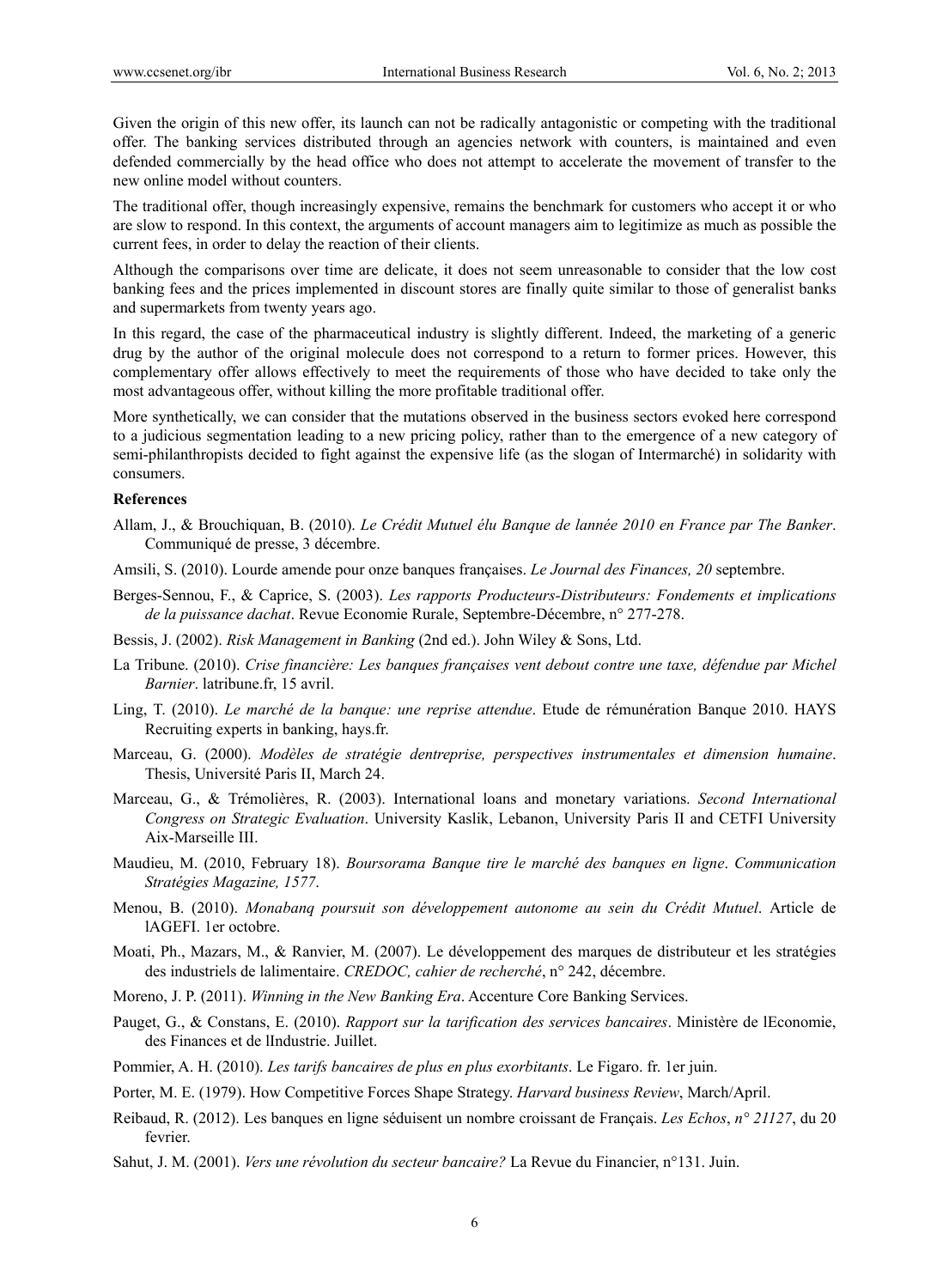Given the origin of this new offer, its launch can not be radically antagonistic or competing with the traditional offer. The banking services distributed through an agencies network with counters, is maintained and even defended commercially by the head office who does not attempt to accelerate the movement of transfer to the new online model without counters.

The traditional offer, though increasingly expensive, remains the benchmark for customers who accept it or who are slow to respond. In this context, the arguments of account managers aim to legitimize as much as possible the current fees, in order to delay the reaction of their clients.

Although the comparisons over time are delicate, it does not seem unreasonable to consider that the low cost banking fees and the prices implemented in discount stores are finally quite similar to those of generalist banks and supermarkets from twenty years ago.

In this regard, the case of the pharmaceutical industry is slightly different. Indeed, the marketing of a generic drug by the author of the original molecule does not correspond to a return to former prices. However, this complementary offer allows effectively to meet the requirements of those who have decided to take only the most advantageous offer, without killing the more profitable traditional offer.

More synthetically, we can consider that the mutations observed in the business sectors evoked here correspond to a judicious segmentation leading to a new pricing policy, rather than to the emergence of a new category of semi-philanthropists decided to fight against the expensive life (as the slogan of Intermarché) in solidarity with consumers.

#### **References**

- Allam, J., & Brouchiquan, B. (2010). *Le Crédit Mutuel élu Banque de lannée 2010 en France par The Banker*. Communiqué de presse, 3 décembre.
- Amsili, S. (2010). Lourde amende pour onze banques françaises. *Le Journal des Finances, 20* septembre.
- Berges-Sennou, F., & Caprice, S. (2003). *Les rapports Producteurs-Distributeurs: Fondements et implications de la puissance dachat*. Revue Economie Rurale, Septembre-Décembre, n° 277-278.
- Bessis, J. (2002). *Risk Management in Banking* (2nd ed.). John Wiley & Sons, Ltd.
- La Tribune. (2010). *Crise financière: Les banques françaises vent debout contre une taxe, défendue par Michel Barnier*. latribune.fr, 15 avril.
- Ling, T. (2010). *Le marché de la banque: une reprise attendue*. Etude de rémunération Banque 2010. HAYS Recruiting experts in banking, hays.fr.
- Marceau, G. (2000). *Modèles de stratégie dentreprise, perspectives instrumentales et dimension humaine*. Thesis, Université Paris II, March 24.
- Marceau, G., & Trémolières, R. (2003). International loans and monetary variations. *Second International Congress on Strategic Evaluation*. University Kaslik, Lebanon, University Paris II and CETFI University Aix-Marseille III.
- Maudieu, M. (2010, February 18). *Boursorama Banque tire le marché des banques en ligne*. *Communication Stratégies Magazine, 1577*.
- Menou, B. (2010). *Monabanq poursuit son développement autonome au sein du Crédit Mutuel*. Article de lAGEFI. 1er octobre.
- Moati, Ph., Mazars, M., & Ranvier, M. (2007). Le développement des marques de distributeur et les stratégies des industriels de lalimentaire. *CREDOC, cahier de recherché*, n° 242, décembre.
- Moreno, J. P. (2011). *Winning in the New Banking Era*. Accenture Core Banking Services.
- Pauget, G., & Constans, E. (2010). *Rapport sur la tarification des services bancaires*. Ministère de lEconomie, des Finances et de lIndustrie. Juillet.
- Pommier, A. H. (2010). *Les tarifs bancaires de plus en plus exorbitants*. Le Figaro. fr. 1er juin.
- Porter, M. E. (1979). How Competitive Forces Shape Strategy. *Harvard business Review*, March/April.
- Reibaud, R. (2012). Les banques en ligne séduisent un nombre croissant de Français. *Les Echos*, *n° 21127*, du 20 fevrier.
- Sahut, J. M. (2001). *Vers une révolution du secteur bancaire?* La Revue du Financier, n°131. Juin.